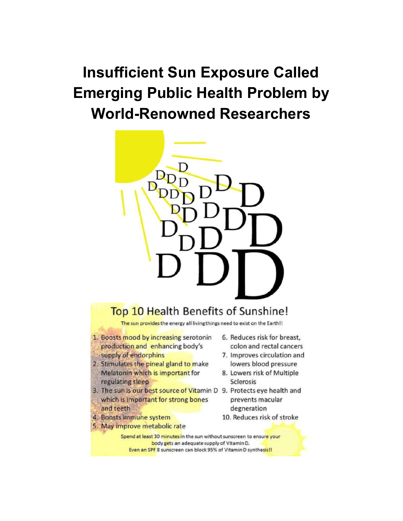## **Insufficient Sun Exposure Called Emerging Public Health Problem by World-Renowned Researchers**



## Top 10 Health Benefits of Sunshine!

The sun provides the energy all living things need to exist on the Earth!!

- 1. Boosts mood by increasing serotonin production and enhancing body's supply of endorphins
- 2. Stimulates the pineal gland to make Melatonin which is important for regulating sleep
- 3. The sun is our best source of Vitamin D 9. Protects eye health and which is important for strong bones and teeth
- 4. Boosts immune system
- 5. May improve metabolic rate
- 6. Reduces risk for breast, colon and rectal cancers
- 7. Improves circulation and lowers blood pressure
- 8. Lowers risk of Multiple **Sclerosis**
- prevents macular degneration
- 10. Reduces risk of stroke

Spend at least 30 minutes in the sun without sunscreen to ensure your body gets an adequate supply of Vitamin D. Even an SPF 8 sunscreen can block 95% of Vitamin D synthesis!!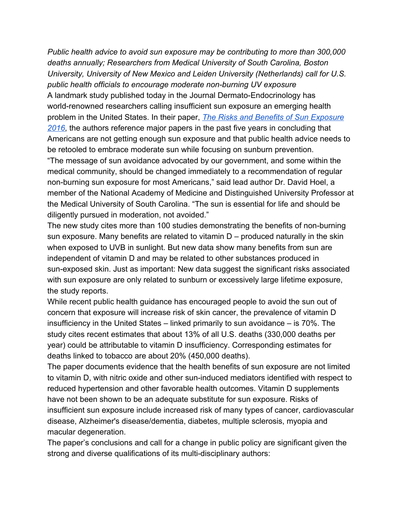*Public health advice to avoid sun exposure may be contributing to more than 300,000 deaths annually; Researchers from Medical University of South Carolina, Boston University, University of New Mexico and Leiden University (Netherlands) call for U.S. public health officials to encourage moderate non-burning UV exposure* A landmark study published today in the Journal Dermato-Endocrinology has world-renowned researchers calling insufficient sun exposure an emerging health problem in the United States. In their paper, *[The Risks and Benefits of Sun Exposure](http://dx.doi.org/10.1080/19381980.2016.1248325) [2016](http://dx.doi.org/10.1080/19381980.2016.1248325)*, the authors reference major papers in the past five years in concluding that Americans are not getting enough sun exposure and that public health advice needs to be retooled to embrace moderate sun while focusing on sunburn prevention. "The message of sun avoidance advocated by our government, and some within the medical community, should be changed immediately to a recommendation of regular non-burning sun exposure for most Americans," said lead author Dr. David Hoel, a member of the National Academy of Medicine and Distinguished University Professor at the Medical University of South Carolina. "The sun is essential for life and should be diligently pursued in moderation, not avoided."

The new study cites more than 100 studies demonstrating the benefits of non-burning sun exposure. Many benefits are related to vitamin  $D -$  produced naturally in the skin when exposed to UVB in sunlight. But new data show many benefits from sun are independent of vitamin D and may be related to other substances produced in sun-exposed skin. Just as important: New data suggest the significant risks associated with sun exposure are only related to sunburn or excessively large lifetime exposure, the study reports.

While recent public health guidance has encouraged people to avoid the sun out of concern that exposure will increase risk of skin cancer, the prevalence of vitamin D insufficiency in the United States – linked primarily to sun avoidance – is 70%. The study cites recent estimates that about 13% of all U.S. deaths (330,000 deaths per year) could be attributable to vitamin D insufficiency. Corresponding estimates for deaths linked to tobacco are about 20% (450,000 deaths).

The paper documents evidence that the health benefits of sun exposure are not limited to vitamin D, with nitric oxide and other sun-induced mediators identified with respect to reduced hypertension and other favorable health outcomes. Vitamin D supplements have not been shown to be an adequate substitute for sun exposure. Risks of insufficient sun exposure include increased risk of many types of cancer, cardiovascular disease, Alzheimer's disease/dementia, diabetes, multiple sclerosis, myopia and macular degeneration.

The paper's conclusions and call for a change in public policy are significant given the strong and diverse qualifications of its multi-disciplinary authors: